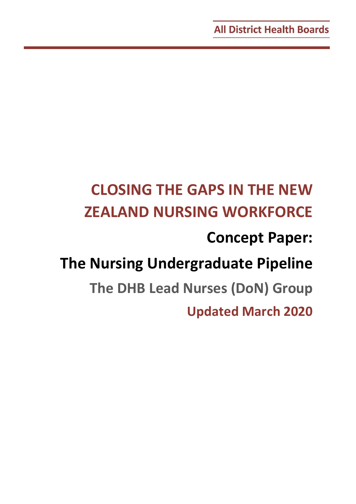# **CLOSING THE GAPS IN THE NEW ZEALAND NURSING WORKFORCE Concept Paper: The Nursing Undergraduate Pipeline The DHB Lead Nurses (DoN) Group Updated March 2020**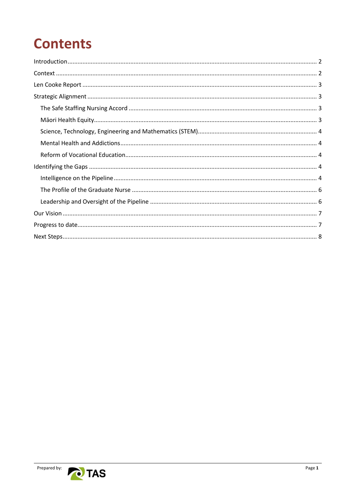## **Contents**

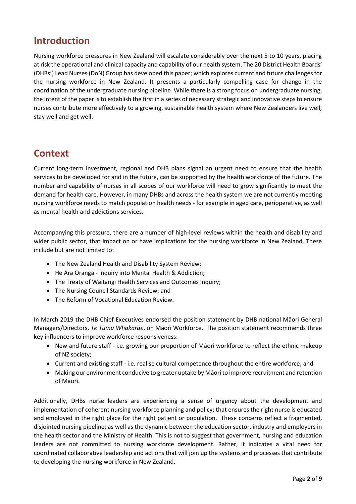## <span id="page-2-0"></span>**Introduction**

Nursing workforce pressures in New Zealand will escalate considerably over the next 5 to 10 years, placing at risk the operational and clinical capacity and capability of our health system. The 20 District Health Boards' (DHBs') Lead Nurses (DoN) Group has developed this paper; which explores current and future challenges for the nursing workforce in New Zealand. It presents a particularly compelling case for change in the coordination of the undergraduate nursing pipeline. While there is a strong focus on undergraduate nursing, the intent of the paper is to establish the first in a series of necessary strategic and innovative steps to ensure nurses contribute more effectively to a growing, sustainable health system where New Zealanders live well, stay well and get well.

## <span id="page-2-1"></span>**Context**

Current long-term investment, regional and DHB plans signal an urgent need to ensure that the health services to be developed for and in the future, can be supported by the health workforce of the future. The number and capability of nurses in all scopes of our workforce will need to grow significantly to meet the demand for health care. However, in many DHBs and across the health system we are not currently meeting nursing workforce needs to match population health needs - for example in aged care, perioperative, as well as mental health and addictions services.

Accompanying this pressure, there are a number of high-level reviews within the health and disability and wider public sector, that impact on or have implications for the nursing workforce in New Zealand. These include but are not limited to:

- The New Zealand Health and Disability System Review;
- He Ara Oranga Inquiry into Mental Health & Addiction;
- The Treaty of Waitangi Health Services and Outcomes Inquiry;
- The Nursing Council Standards Review; and
- The Reform of Vocational Education Review.

In March 2019 the DHB Chief Executives endorsed the position statement by DHB national Māori General Managers/Directors, *Te Tumu Whakarae*, on Māori Workforce. The position statement recommends three key influencers to improve workforce responsiveness:

- New and future staff i.e. growing our proportion of Māori workforce to reflect the ethnic makeup of NZ society;
- Current and existing staff i.e. realise cultural competence throughout the entire workforce; and
- Making our environment conducive to greater uptake by Māori to improve recruitment and retention of Māori.

Additionally, DHBs nurse leaders are experiencing a sense of urgency about the development and implementation of coherent nursing workforce planning and policy; that ensures the right nurse is educated and employed in the right place for the right patient or population. These concerns reflect a fragmented, disjointed nursing pipeline; as well as the dynamic between the education sector, industry and employers in the health sector and the Ministry of Health. This is not to suggest that government, nursing and education leaders are not committed to nursing workforce development. Rather, it indicates a vital need for coordinated collaborative leadership and actions that will join up the systems and processes that contribute to developing the nursing workforce in New Zealand.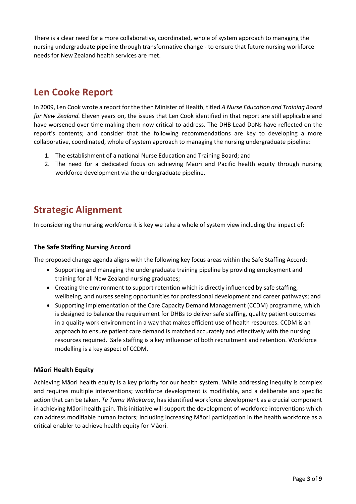There is a clear need for a more collaborative, coordinated, whole of system approach to managing the nursing undergraduate pipeline through transformative change - to ensure that future nursing workforce needs for New Zealand health services are met.

## <span id="page-3-0"></span>**Len Cooke Report**

In 2009, Len Cook wrote a report for the then Minister of Health, titled *A Nurse Education and Training Board for New Zealand.* Eleven years on, the issues that Len Cook identified in that report are still applicable and have worsened over time making them now critical to address. The DHB Lead DoNs have reflected on the report's contents; and consider that the following recommendations are key to developing a more collaborative, coordinated, whole of system approach to managing the nursing undergraduate pipeline:

- 1. The establishment of a national Nurse Education and Training Board; and
- 2. The need for a dedicated focus on achieving Māori and Pacific health equity through nursing workforce development via the undergraduate pipeline.

## <span id="page-3-1"></span>**Strategic Alignment**

In considering the nursing workforce it is key we take a whole of system view including the impact of:

#### <span id="page-3-2"></span>**The Safe Staffing Nursing Accord**

The proposed change agenda aligns with the following key focus areas within the Safe Staffing Accord:

- Supporting and managing the undergraduate training pipeline by providing employment and training for all New Zealand nursing graduates;
- Creating the environment to support retention which is directly influenced by safe staffing, wellbeing, and nurses seeing opportunities for professional development and career pathways; and
- Supporting implementation of the Care Capacity Demand Management (CCDM) programme, which is designed to balance the requirement for DHBs to deliver safe staffing, quality patient outcomes in a quality work environment in a way that makes efficient use of health resources. CCDM is an approach to ensure patient care demand is matched accurately and effectively with the nursing resources required. Safe staffing is a key influencer of both recruitment and retention. Workforce modelling is a key aspect of CCDM.

#### <span id="page-3-3"></span>**Māori Health Equity**

Achieving Māori health equity is a key priority for our health system. While addressing inequity is complex and requires multiple interventions; workforce development is modifiable, and a deliberate and specific action that can be taken. *Te Tumu Whakarae*, has identified workforce development as a crucial component in achieving Māori health gain. This initiative will support the development of workforce interventions which can address modifiable human factors; including increasing Māori participation in the health workforce as a critical enabler to achieve health equity for Māori.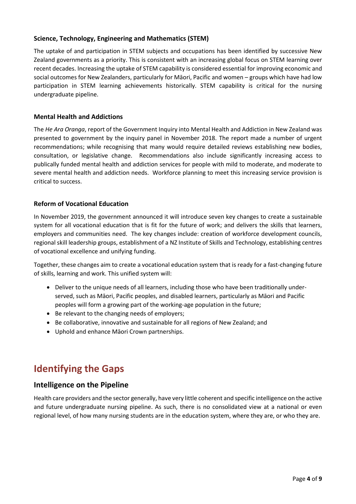#### <span id="page-4-0"></span>**Science, Technology, Engineering and Mathematics (STEM)**

The uptake of and participation in STEM subjects and occupations has been identified by successive New Zealand governments as a priority. This is consistent with an increasing global focus on STEM learning over recent decades. Increasing the uptake of STEM capability is considered essential for improving economic and social outcomes for New Zealanders, particularly for Māori, Pacific and women – groups which have had low participation in STEM learning achievements historically. STEM capability is critical for the nursing undergraduate pipeline.

#### <span id="page-4-1"></span>**Mental Health and Addictions**

The *He Ara Oranga*, report of the Government Inquiry into Mental Health and Addiction in New Zealand was presented to government by the inquiry panel in November 2018. The report made a number of urgent recommendations; while recognising that many would require detailed reviews establishing new bodies, consultation, or legislative change. Recommendations also include significantly increasing access to publically funded mental health and addiction services for people with mild to moderate, and moderate to severe mental health and addiction needs. Workforce planning to meet this increasing service provision is critical to success.

#### <span id="page-4-2"></span>**Reform of Vocational Education**

In November 2019, the government announced it will introduce seven key changes to create a sustainable system for all vocational education that is fit for the future of work; and delivers the skills that learners, employers and communities need. The key changes include: creation of workforce development councils, regional skill leadership groups, establishment of a NZ Institute of Skills and Technology, establishing centres of vocational excellence and unifying funding.

Together, these changes aim to create a vocational education system that is ready for a fast-changing future of skills, learning and work. This unified system will:

- Deliver to the unique needs of all learners, including those who have been traditionally underserved, such as Māori, Pacific peoples, and disabled learners, particularly as Māori and Pacific peoples will form a growing part of the working-age population in the future;
- Be relevant to the changing needs of employers;
- Be collaborative, innovative and sustainable for all regions of New Zealand; and
- Uphold and enhance Māori Crown partnerships.

## <span id="page-4-3"></span>**Identifying the Gaps**

#### <span id="page-4-4"></span>**Intelligence on the Pipeline**

Health care providers and the sector generally, have very little coherent and specific intelligence on the active and future undergraduate nursing pipeline. As such, there is no consolidated view at a national or even regional level, of how many nursing students are in the education system, where they are, or who they are.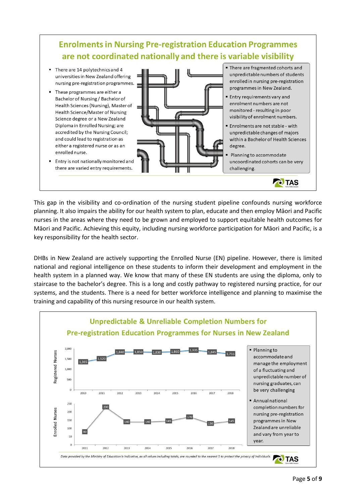## **Enrolments in Nursing Pre-registration Education Programmes** are not coordinated nationally and there is variable visibility

- There are 14 polytechnics and 4 universities in New Zealand offering nursing pre-registration programmes.
- These programmes are either a Bachelor of Nursing / Bachelor of Health Sciences (Nursing), Master of Health Science/Master of Nursing Science degree or a New Zealand Diploma in Enrolled Nursing; are accredited by the Nursing Council; and could lead to registration as either a registered nurse or as an enrolled nurse.
	- Entry is not nationally monitored and

" There are fragmented cohorts and unpredictable numbers of students enrolled in nursing pre-registration programmes in New Zealand.

- Entry requirements vary and enrolment numbers are not monitored - resulting in poor visibility of enrolment numbers.
- · Enrolments are not stable with unpredictable changes of majors within a Bachelor of Health Sciences degree.
- Planning to accommodate uncoordinated cohorts can be very challenging.

**O** TAS

there are varied entry requirements.

This gap in the visibility and co-ordination of the nursing student pipeline confounds nursing workforce planning. It also impairs the ability for our health system to plan, educate and then employ Māori and Pacific nurses in the areas where they need to be grown and employed to support equitable health outcomes for Māori and Pacific. Achieving this equity, including nursing workforce participation for Māori and Pacific, is a key responsibility for the health sector.

DHBs in New Zealand are actively supporting the Enrolled Nurse (EN) pipeline. However, there is limited national and regional intelligence on these students to inform their development and employment in the health system in a planned way. We know that many of these EN students are using the diploma, only to staircase to the bachelor's degree. This is a long and costly pathway to registered nursing practice, for our systems, and the students. There is a need for better workforce intelligence and planning to maximise the training and capability of this nursing resource in our health system.

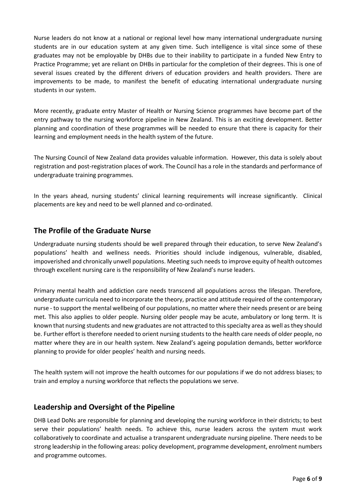Nurse leaders do not know at a national or regional level how many international undergraduate nursing students are in our education system at any given time. Such intelligence is vital since some of these graduates may not be employable by DHBs due to their inability to participate in a funded New Entry to Practice Programme; yet are reliant on DHBs in particular for the completion of their degrees. This is one of several issues created by the different drivers of education providers and health providers. There are improvements to be made, to manifest the benefit of educating international undergraduate nursing students in our system.

More recently, graduate entry Master of Health or Nursing Science programmes have become part of the entry pathway to the nursing workforce pipeline in New Zealand. This is an exciting development. Better planning and coordination of these programmes will be needed to ensure that there is capacity for their learning and employment needs in the health system of the future.

The Nursing Council of New Zealand data provides valuable information. However, this data is solely about registration and post-registration places of work. The Council has a role in the standards and performance of undergraduate training programmes.

In the years ahead, nursing students' clinical learning requirements will increase significantly. Clinical placements are key and need to be well planned and co-ordinated.

#### <span id="page-6-0"></span>**The Profile of the Graduate Nurse**

Undergraduate nursing students should be well prepared through their education, to serve New Zealand's populations' health and wellness needs. Priorities should include indigenous, vulnerable, disabled, impoverished and chronically unwell populations. Meeting such needs to improve equity of health outcomes through excellent nursing care is the responsibility of New Zealand's nurse leaders.

Primary mental health and addiction care needs transcend all populations across the lifespan. Therefore, undergraduate curricula need to incorporate the theory, practice and attitude required of the contemporary nurse - to support the mental wellbeing of our populations, no matter where their needs present or are being met. This also applies to older people. Nursing older people may be acute, ambulatory or long term. It is known that nursing students and new graduates are not attracted to this specialty area as well as they should be. Further effort is therefore needed to orient nursing students to the health care needs of older people, no matter where they are in our health system. New Zealand's ageing population demands, better workforce planning to provide for older peoples' health and nursing needs.

The health system will not improve the health outcomes for our populations if we do not address biases; to train and employ a nursing workforce that reflects the populations we serve.

#### <span id="page-6-1"></span>**Leadership and Oversight of the Pipeline**

DHB Lead DoNs are responsible for planning and developing the nursing workforce in their districts; to best serve their populations' health needs. To achieve this, nurse leaders across the system must work collaboratively to coordinate and actualise a transparent undergraduate nursing pipeline. There needs to be strong leadership in the following areas: policy development, programme development, enrolment numbers and programme outcomes.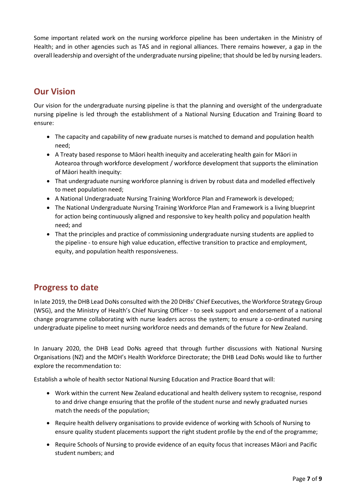Some important related work on the nursing workforce pipeline has been undertaken in the Ministry of Health; and in other agencies such as TAS and in regional alliances. There remains however, a gap in the overall leadership and oversight of the undergraduate nursing pipeline; that should be led by nursing leaders.

## <span id="page-7-0"></span>**Our Vision**

Our vision for the undergraduate nursing pipeline is that the planning and oversight of the undergraduate nursing pipeline is led through the establishment of a National Nursing Education and Training Board to ensure:

- The capacity and capability of new graduate nurses is matched to demand and population health need;
- A Treaty based response to Māori health inequity and accelerating health gain for Māori in Aotearoa through workforce development / workforce development that supports the elimination of Māori health inequity:
- That undergraduate nursing workforce planning is driven by robust data and modelled effectively to meet population need;
- A National Undergraduate Nursing Training Workforce Plan and Framework is developed;
- The National Undergraduate Nursing Training Workforce Plan and Framework is a living blueprint for action being continuously aligned and responsive to key health policy and population health need; and
- That the principles and practice of commissioning undergraduate nursing students are applied to the pipeline - to ensure high value education, effective transition to practice and employment, equity, and population health responsiveness.

#### <span id="page-7-1"></span>**Progress to date**

In late 2019, the DHB Lead DoNs consulted with the 20 DHBs' Chief Executives, the Workforce Strategy Group (WSG), and the Ministry of Health's Chief Nursing Officer - to seek support and endorsement of a national change programme collaborating with nurse leaders across the system; to ensure a co-ordinated nursing undergraduate pipeline to meet nursing workforce needs and demands of the future for New Zealand.

In January 2020, the DHB Lead DoNs agreed that through further discussions with National Nursing Organisations (NZ) and the MOH's Health Workforce Directorate; the DHB Lead DoNs would like to further explore the recommendation to:

Establish a whole of health sector National Nursing Education and Practice Board that will:

- Work within the current New Zealand educational and health delivery system to recognise, respond to and drive change ensuring that the profile of the student nurse and newly graduated nurses match the needs of the population;
- Require health delivery organisations to provide evidence of working with Schools of Nursing to ensure quality student placements support the right student profile by the end of the programme;
- Require Schools of Nursing to provide evidence of an equity focus that increases Māori and Pacific student numbers; and